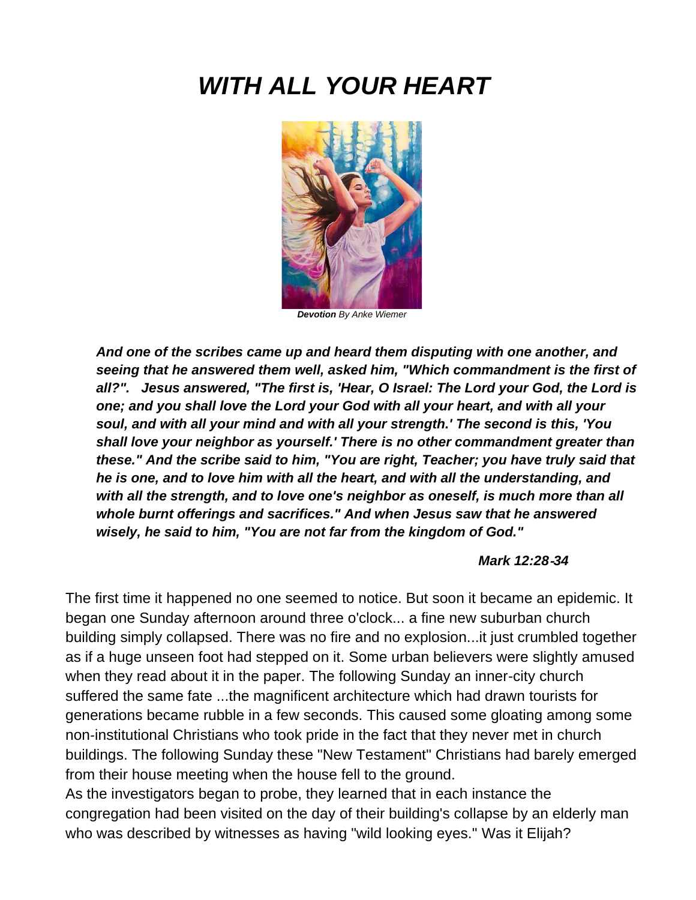# *WITH ALL YOUR HEART*



*Devotion By Anke Wiemer*

*And one of the scribes came up and heard them disputing with one another, and seeing that he answered them well, asked him, "Which commandment is the first of all?". Jesus answered, "The first is, 'Hear, O Israel: The Lord your God, the Lord is one; and you shall love the Lord your God with all your heart, and with all your soul, and with all your mind and with all your strength.' The second is this, 'You shall love your neighbor as yourself.' There is no other commandment greater than these." And the scribe said to him, "You are right, Teacher; you have truly said that he is one, and to love him with all the heart, and with all the understanding, and with all the strength, and to love one's neighbor as oneself, is much more than all whole burnt offerings and sacrifices." And when Jesus saw that he answered wisely, he said to him, "You are not far from the kingdom of God."*

#### *Mark 12:28*‑*34*

The first time it happened no one seemed to notice. But soon it became an epidemic. It began one Sunday afternoon around three o'clock... a fine new suburban church building simply collapsed. There was no fire and no explosion...it just crumbled together as if a huge unseen foot had stepped on it. Some urban believers were slightly amused when they read about it in the paper. The following Sunday an inner-city church suffered the same fate ...the magnificent architecture which had drawn tourists for generations became rubble in a few seconds. This caused some gloating among some non‑institutional Christians who took pride in the fact that they never met in church buildings. The following Sunday these "New Testament" Christians had barely emerged from their house meeting when the house fell to the ground.

As the investigators began to probe, they learned that in each instance the congregation had been visited on the day of their building's collapse by an elderly man who was described by witnesses as having "wild looking eyes." Was it Elijah?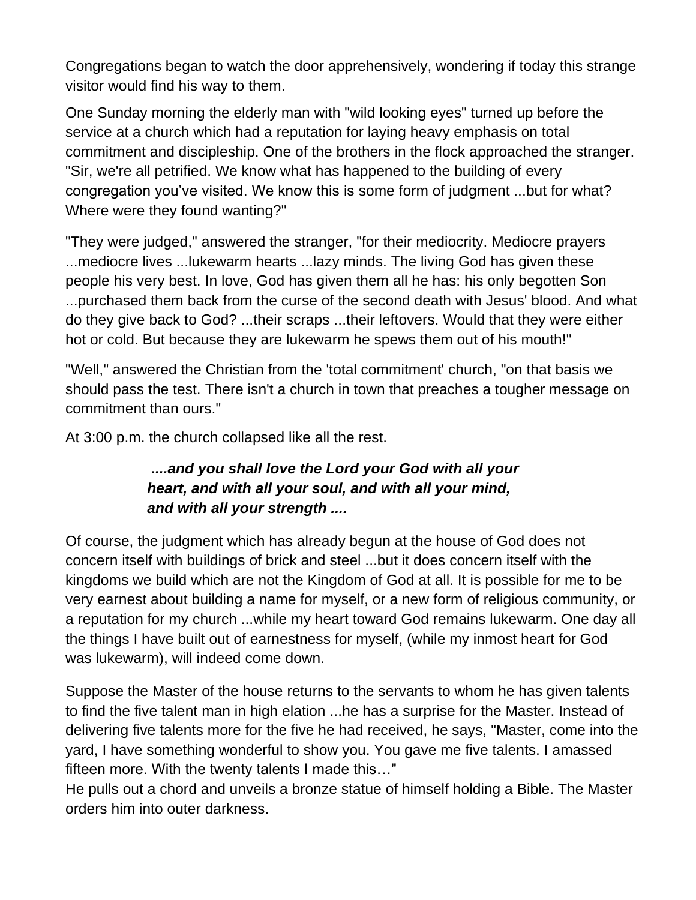Congregations began to watch the door apprehensively, wondering if today this strange visitor would find his way to them.

One Sunday morning the elderly man with "wild looking eyes" turned up before the service at a church which had a reputation for laying heavy emphasis on total commitment and discipleship. One of the brothers in the flock approached the stranger. "Sir, we're all petrified. We know what has happened to the building of every congregation you've visited. We know this is some form of judgment ...but for what? Where were they found wanting?"

"They were judged," answered the stranger, "for their mediocrity. Mediocre prayers ...mediocre lives ...lukewarm hearts ...lazy minds. The living God has given these people his very best. In love, God has given them all he has: his only begotten Son ...purchased them back from the curse of the second death with Jesus' blood. And what do they give back to God? ...their scraps ...their leftovers. Would that they were either hot or cold. But because they are lukewarm he spews them out of his mouth!"

"Well," answered the Christian from the 'total commitment' church, "on that basis we should pass the test. There isn't a church in town that preaches a tougher message on commitment than ours."

At 3:00 p.m. the church collapsed like all the rest.

### *....and you shall love the Lord your God with all your heart, and with all your soul, and with all your mind, and with all your strength ....*

Of course, the judgment which has already begun at the house of God does not concern itself with buildings of brick and steel ...but it does concern itself with the kingdoms we build which are not the Kingdom of God at all. It is possible for me to be very earnest about building a name for myself, or a new form of religious community, or a reputation for my church ...while my heart toward God remains lukewarm. One day all the things I have built out of earnestness for myself, (while my inmost heart for God was lukewarm), will indeed come down.

Suppose the Master of the house returns to the servants to whom he has given talents to find the five talent man in high elation ...he has a surprise for the Master. Instead of delivering five talents more for the five he had received, he says, "Master, come into the yard, I have something wonderful to show you. You gave me five talents. I amassed fifteen more. With the twenty talents I made this…"

He pulls out a chord and unveils a bronze statue of himself holding a Bible. The Master orders him into outer darkness.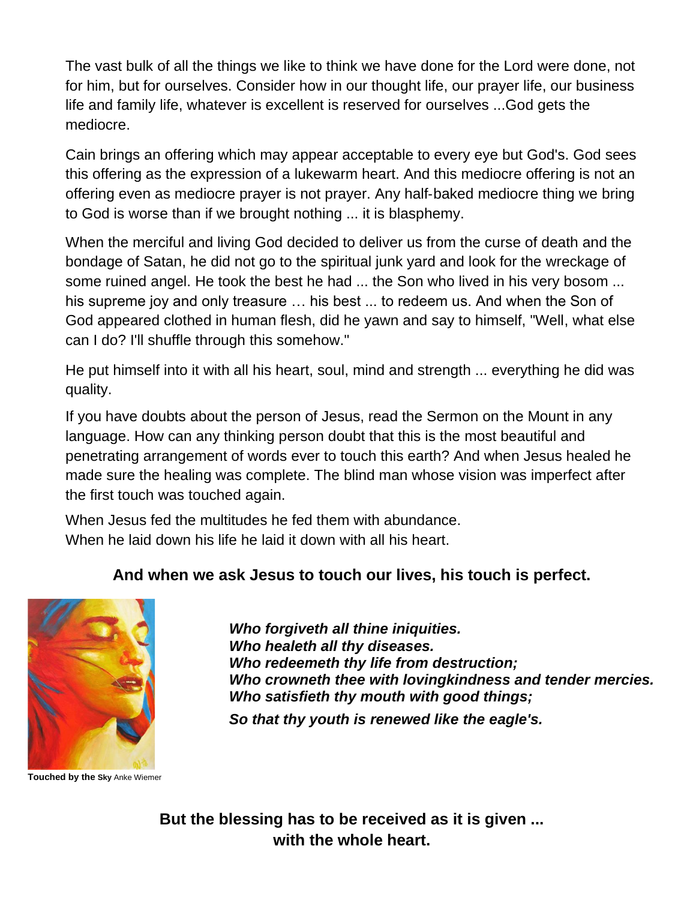The vast bulk of all the things we like to think we have done for the Lord were done, not for him, but for ourselves. Consider how in our thought life, our prayer life, our business life and family life, whatever is excellent is reserved for ourselves ...God gets the mediocre.

Cain brings an offering which may appear acceptable to every eye but God's. God sees this offering as the expression of a lukewarm heart. And this mediocre offering is not an offering even as mediocre prayer is not prayer. Any half‑baked mediocre thing we bring to God is worse than if we brought nothing ... it is blasphemy.

When the merciful and living God decided to deliver us from the curse of death and the bondage of Satan, he did not go to the spiritual junk yard and look for the wreckage of some ruined angel. He took the best he had ... the Son who lived in his very bosom ... his supreme joy and only treasure … his best ... to redeem us. And when the Son of God appeared clothed in human flesh, did he yawn and say to himself, "Well, what else can I do? I'll shuffle through this somehow."

He put himself into it with all his heart, soul, mind and strength ... everything he did was quality.

If you have doubts about the person of Jesus, read the Sermon on the Mount in any language. How can any thinking person doubt that this is the most beautiful and penetrating arrangement of words ever to touch this earth? And when Jesus healed he made sure the healing was complete. The blind man whose vision was imperfect after the first touch was touched again.

When Jesus fed the multitudes he fed them with abundance. When he laid down his life he laid it down with all his heart.

#### **And when we ask Jesus to touch our lives, his touch is perfect.**



**Touched by the Sky** Anke Wiemer

*Who forgiveth all thine iniquities. Who healeth all thy diseases. Who redeemeth thy life from destruction; Who crowneth thee with lovingkindness and tender mercies. Who satisfieth thy mouth with good things; So that thy youth is renewed like the eagle's.*

**But the blessing has to be received as it is given ... with the whole heart.**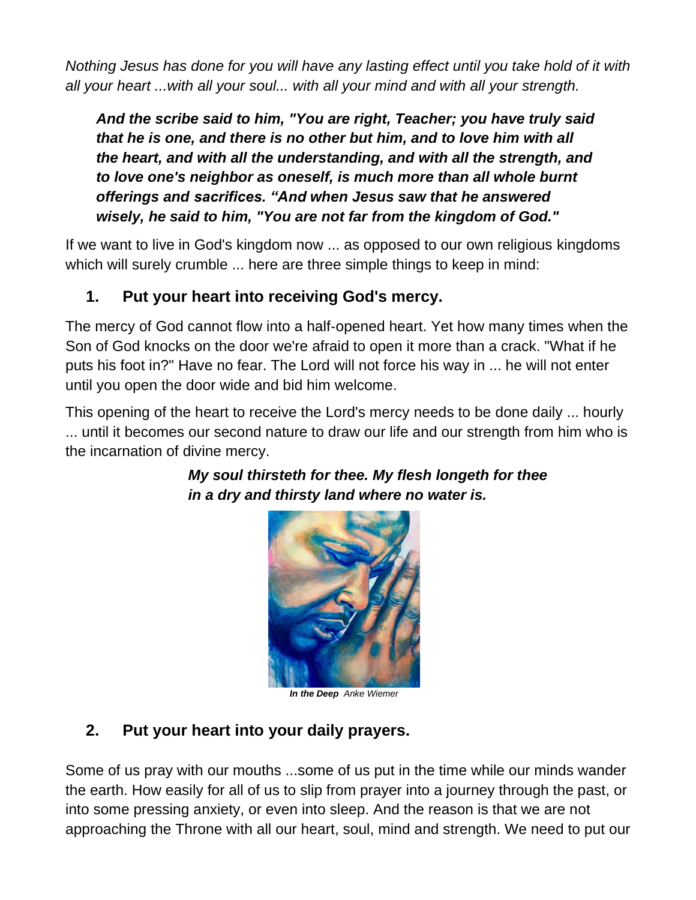*Nothing Jesus has done for you will have any lasting effect until you take hold of it with all your heart ...with all your soul... with all your mind and with all your strength.*

*And the scribe said to him, "You are right, Teacher; you have truly said that he is one, and there is no other but him, and to love him with all the heart, and with all the understanding, and with all the strength, and to love one's neighbor as oneself, is much more than all whole burnt offerings and sacrifices. "And when Jesus saw that he answered wisely, he said to him, "You are not far from the kingdom of God."* 

If we want to live in God's kingdom now ... as opposed to our own religious kingdoms which will surely crumble ... here are three simple things to keep in mind:

# **1. Put your heart into receiving God's mercy.**

The mercy of God cannot flow into a half‑opened heart. Yet how many times when the Son of God knocks on the door we're afraid to open it more than a crack. "What if he puts his foot in?" Have no fear. The Lord will not force his way in ... he will not enter until you open the door wide and bid him welcome.

This opening of the heart to receive the Lord's mercy needs to be done daily ... hourly ... until it becomes our second nature to draw our life and our strength from him who is the incarnation of divine mercy.



*My soul thirsteth for thee. My flesh longeth for thee in a dry and thirsty land where no water is.*

*In the Deep Anke Wiemer*

## **2. Put your heart into your daily prayers.**

Some of us pray with our mouths ...some of us put in the time while our minds wander the earth. How easily for all of us to slip from prayer into a journey through the past, or into some pressing anxiety, or even into sleep. And the reason is that we are not approaching the Throne with all our heart, soul, mind and strength. We need to put our